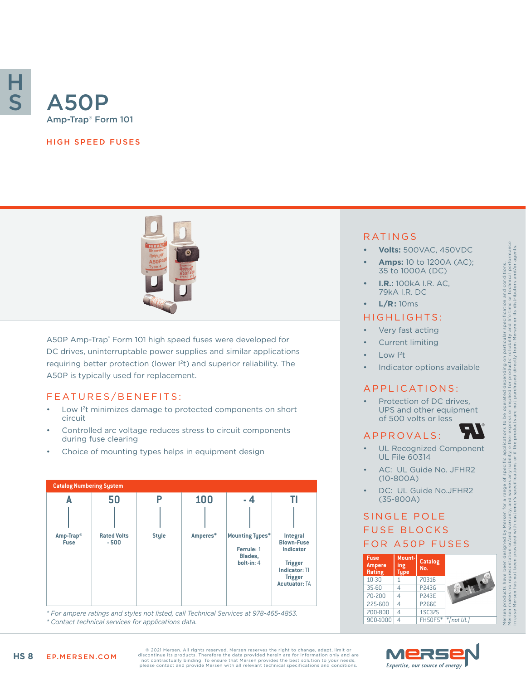

#### HIGH SPEED FUSES



A50P Amp-Trap® Form 101 high speed fuses were developed for DC drives, uninterruptable power supplies and similar applications requiring better protection (lower I<sup>2</sup>t) and superior reliability. The A50P is typically used for replacement.

#### FEATURES/BENEFITS:

- Low I2t minimizes damage to protected components on short circuit
- Controlled arc voltage reduces stress to circuit components during fuse clearing
- Choice of mounting types helps in equipment design



*\* For ampere ratings and styles not listed, call Technical Services at 978-465-4853. \* Contact technical services for applications data.*

#### RATINGS

- **• Volts:** 500VAC, 450VDC
- **• Amps:** 10 to 1200A (AC); 35 to 1000A (DC)
- **• I.R.:** 100kA I.R. AC, 79kA I.R. DC
- **• L/R:** 10ms

#### HIGHLIGHTS:

- Very fast acting
- Current limiting
- Low  $12t$
- Indicator options available

#### APPLICATIONS:

Protection of DC drives, UPS and other equipment of 500 volts or less

### A P P R OVA L S :

- UL Recognized Component UL File 60314
- AC: UL Guide No. JFHR2 (10-800A)
- DC: UL Guide No.JFHR2 (35-800A)

# SINGLE POLE FUSE BLOCKS FOR A50P FUSES

| <b>Fuse</b><br><b>Ampere</b><br>Rating | Mount-<br>ing<br><b>Type</b> | <b>Catalog</b><br>No. |              |
|----------------------------------------|------------------------------|-----------------------|--------------|
| 10-30                                  | 1                            | 70316                 |              |
| $35 - 60$                              | 4                            | P243G                 |              |
| 70-200                                 | Δ                            | <b>P243E</b>          |              |
| 225-600                                | Δ                            | P266C                 |              |
| 700-800                                | Δ                            | 1SC375                |              |
| 900-1000                               | Δ                            | <b>FH50F5*</b>        | $*$ [not UL] |



in case Mersen has not been provided with customer's specifications or if the products are not purchased directly from Mersen or its distributors and/or agents.

© 2021 Mersen. All rights reserved. Mersen reserves the right to change, adapt, limit or<br>discontinue its products. Therefore the data provided herein are for information only and are<br>not contractually binding. To ensure th please contact and provide Mersen with all relevant technical specifications and conditions.